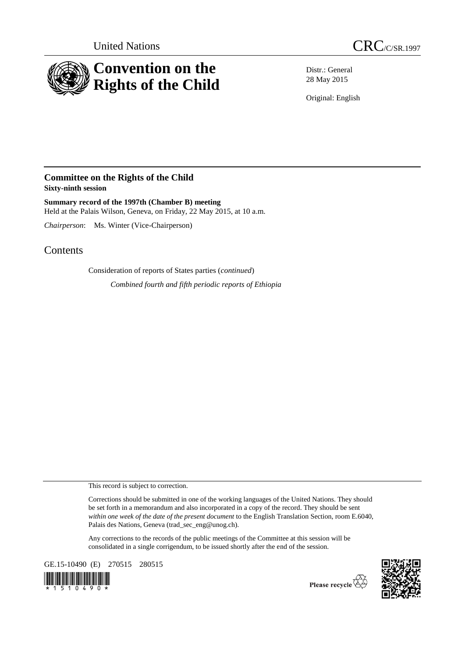



Distr.: General 28 May 2015

Original: English

## **Committee on the Rights of the Child Sixty-ninth session**

**Summary record of the 1997th (Chamber B) meeting** Held at the Palais Wilson, Geneva, on Friday, 22 May 2015, at 10 a.m.

*Chairperson*: Ms. Winter (Vice-Chairperson)

## Contents

Consideration of reports of States parties (*continued*) *Combined fourth and fifth periodic reports of Ethiopia*

This record is subject to correction.

Corrections should be submitted in one of the working languages of the United Nations. They should be set forth in a memorandum and also incorporated in a copy of the record. They should be sent *within one week of the date of the present document* to the English Translation Section, room E.6040, Palais des Nations, Geneva (trad\_sec\_eng@unog.ch).

Any corrections to the records of the public meetings of the Committee at this session will be consolidated in a single corrigendum, to be issued shortly after the end of the session.

GE.15-10490 (E) 270515 280515





Please recycle  $\overleftrightarrow{C}$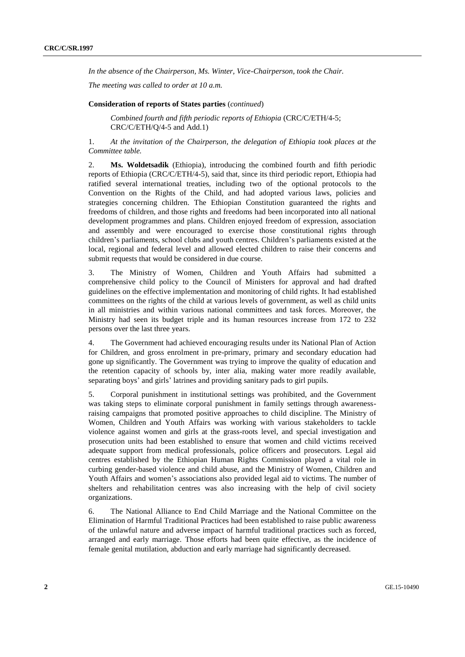*In the absence of the Chairperson, Ms. Winter, Vice-Chairperson, took the Chair.*

*The meeting was called to order at 10 a.m.*

## **Consideration of reports of States parties** (*continued*)

*Combined fourth and fifth periodic reports of Ethiopia* (CRC/C/ETH/4-5; CRC/C/ETH/Q/4-5 and Add.1)

1. *At the invitation of the Chairperson, the delegation of Ethiopia took places at the Committee table.*

2. **Ms. Woldetsadik** (Ethiopia), introducing the combined fourth and fifth periodic reports of Ethiopia (CRC/C/ETH/4-5), said that, since its third periodic report, Ethiopia had ratified several international treaties, including two of the optional protocols to the Convention on the Rights of the Child, and had adopted various laws, policies and strategies concerning children. The Ethiopian Constitution guaranteed the rights and freedoms of children, and those rights and freedoms had been incorporated into all national development programmes and plans. Children enjoyed freedom of expression, association and assembly and were encouraged to exercise those constitutional rights through children's parliaments, school clubs and youth centres. Children's parliaments existed at the local, regional and federal level and allowed elected children to raise their concerns and submit requests that would be considered in due course.

3. The Ministry of Women, Children and Youth Affairs had submitted a comprehensive child policy to the Council of Ministers for approval and had drafted guidelines on the effective implementation and monitoring of child rights. It had established committees on the rights of the child at various levels of government, as well as child units in all ministries and within various national committees and task forces. Moreover, the Ministry had seen its budget triple and its human resources increase from 172 to 232 persons over the last three years.

4. The Government had achieved encouraging results under its National Plan of Action for Children, and gross enrolment in pre-primary, primary and secondary education had gone up significantly. The Government was trying to improve the quality of education and the retention capacity of schools by, inter alia, making water more readily available, separating boys' and girls' latrines and providing sanitary pads to girl pupils.

5. Corporal punishment in institutional settings was prohibited, and the Government was taking steps to eliminate corporal punishment in family settings through awarenessraising campaigns that promoted positive approaches to child discipline. The Ministry of Women, Children and Youth Affairs was working with various stakeholders to tackle violence against women and girls at the grass-roots level, and special investigation and prosecution units had been established to ensure that women and child victims received adequate support from medical professionals, police officers and prosecutors. Legal aid centres established by the Ethiopian Human Rights Commission played a vital role in curbing gender-based violence and child abuse, and the Ministry of Women, Children and Youth Affairs and women's associations also provided legal aid to victims. The number of shelters and rehabilitation centres was also increasing with the help of civil society organizations.

6. The National Alliance to End Child Marriage and the National Committee on the Elimination of Harmful Traditional Practices had been established to raise public awareness of the unlawful nature and adverse impact of harmful traditional practices such as forced, arranged and early marriage. Those efforts had been quite effective, as the incidence of female genital mutilation, abduction and early marriage had significantly decreased.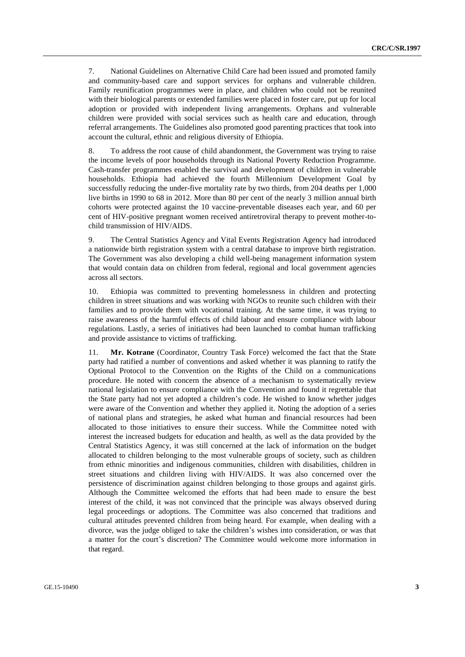7. National Guidelines on Alternative Child Care had been issued and promoted family and community-based care and support services for orphans and vulnerable children. Family reunification programmes were in place, and children who could not be reunited with their biological parents or extended families were placed in foster care, put up for local adoption or provided with independent living arrangements. Orphans and vulnerable children were provided with social services such as health care and education, through referral arrangements. The Guidelines also promoted good parenting practices that took into account the cultural, ethnic and religious diversity of Ethiopia.

8. To address the root cause of child abandonment, the Government was trying to raise the income levels of poor households through its National Poverty Reduction Programme. Cash-transfer programmes enabled the survival and development of children in vulnerable households. Ethiopia had achieved the fourth Millennium Development Goal by successfully reducing the under-five mortality rate by two thirds, from 204 deaths per 1,000 live births in 1990 to 68 in 2012. More than 80 per cent of the nearly 3 million annual birth cohorts were protected against the 10 vaccine-preventable diseases each year, and 60 per cent of HIV-positive pregnant women received antiretroviral therapy to prevent mother-tochild transmission of HIV/AIDS.

9. The Central Statistics Agency and Vital Events Registration Agency had introduced a nationwide birth registration system with a central database to improve birth registration. The Government was also developing a child well-being management information system that would contain data on children from federal, regional and local government agencies across all sectors.

10. Ethiopia was committed to preventing homelessness in children and protecting children in street situations and was working with NGOs to reunite such children with their families and to provide them with vocational training. At the same time, it was trying to raise awareness of the harmful effects of child labour and ensure compliance with labour regulations. Lastly, a series of initiatives had been launched to combat human trafficking and provide assistance to victims of trafficking.

11. **Mr. Kotrane** (Coordinator, Country Task Force) welcomed the fact that the State party had ratified a number of conventions and asked whether it was planning to ratify the Optional Protocol to the Convention on the Rights of the Child on a communications procedure. He noted with concern the absence of a mechanism to systematically review national legislation to ensure compliance with the Convention and found it regrettable that the State party had not yet adopted a children's code. He wished to know whether judges were aware of the Convention and whether they applied it. Noting the adoption of a series of national plans and strategies, he asked what human and financial resources had been allocated to those initiatives to ensure their success. While the Committee noted with interest the increased budgets for education and health, as well as the data provided by the Central Statistics Agency, it was still concerned at the lack of information on the budget allocated to children belonging to the most vulnerable groups of society, such as children from ethnic minorities and indigenous communities, children with disabilities, children in street situations and children living with HIV/AIDS. It was also concerned over the persistence of discrimination against children belonging to those groups and against girls. Although the Committee welcomed the efforts that had been made to ensure the best interest of the child, it was not convinced that the principle was always observed during legal proceedings or adoptions. The Committee was also concerned that traditions and cultural attitudes prevented children from being heard. For example, when dealing with a divorce, was the judge obliged to take the children's wishes into consideration, or was that a matter for the court's discretion? The Committee would welcome more information in that regard.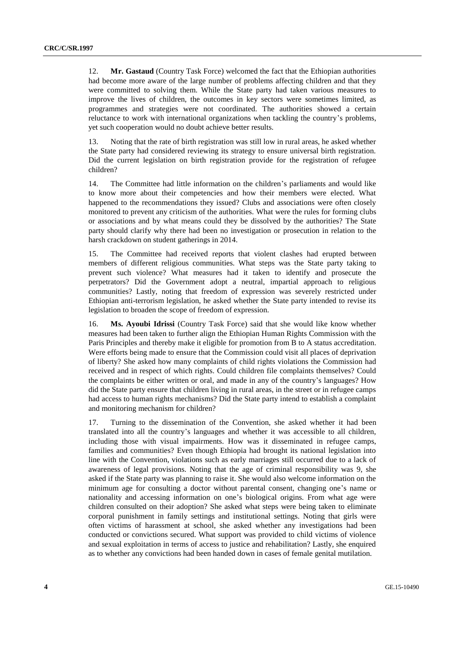12. **Mr. Gastaud** (Country Task Force) welcomed the fact that the Ethiopian authorities had become more aware of the large number of problems affecting children and that they were committed to solving them. While the State party had taken various measures to improve the lives of children, the outcomes in key sectors were sometimes limited, as programmes and strategies were not coordinated. The authorities showed a certain reluctance to work with international organizations when tackling the country's problems, yet such cooperation would no doubt achieve better results.

13. Noting that the rate of birth registration was still low in rural areas, he asked whether the State party had considered reviewing its strategy to ensure universal birth registration. Did the current legislation on birth registration provide for the registration of refugee children?

14. The Committee had little information on the children's parliaments and would like to know more about their competencies and how their members were elected. What happened to the recommendations they issued? Clubs and associations were often closely monitored to prevent any criticism of the authorities. What were the rules for forming clubs or associations and by what means could they be dissolved by the authorities? The State party should clarify why there had been no investigation or prosecution in relation to the harsh crackdown on student gatherings in 2014.

15. The Committee had received reports that violent clashes had erupted between members of different religious communities. What steps was the State party taking to prevent such violence? What measures had it taken to identify and prosecute the perpetrators? Did the Government adopt a neutral, impartial approach to religious communities? Lastly, noting that freedom of expression was severely restricted under Ethiopian anti-terrorism legislation, he asked whether the State party intended to revise its legislation to broaden the scope of freedom of expression.

16. **Ms. Ayoubi Idrissi** (Country Task Force) said that she would like know whether measures had been taken to further align the Ethiopian Human Rights Commission with the Paris Principles and thereby make it eligible for promotion from B to A status accreditation. Were efforts being made to ensure that the Commission could visit all places of deprivation of liberty? She asked how many complaints of child rights violations the Commission had received and in respect of which rights. Could children file complaints themselves? Could the complaints be either written or oral, and made in any of the country's languages? How did the State party ensure that children living in rural areas, in the street or in refugee camps had access to human rights mechanisms? Did the State party intend to establish a complaint and monitoring mechanism for children?

17. Turning to the dissemination of the Convention, she asked whether it had been translated into all the country's languages and whether it was accessible to all children, including those with visual impairments. How was it disseminated in refugee camps, families and communities? Even though Ethiopia had brought its national legislation into line with the Convention, violations such as early marriages still occurred due to a lack of awareness of legal provisions. Noting that the age of criminal responsibility was 9, she asked if the State party was planning to raise it. She would also welcome information on the minimum age for consulting a doctor without parental consent, changing one's name or nationality and accessing information on one's biological origins. From what age were children consulted on their adoption? She asked what steps were being taken to eliminate corporal punishment in family settings and institutional settings. Noting that girls were often victims of harassment at school, she asked whether any investigations had been conducted or convictions secured. What support was provided to child victims of violence and sexual exploitation in terms of access to justice and rehabilitation? Lastly, she enquired as to whether any convictions had been handed down in cases of female genital mutilation.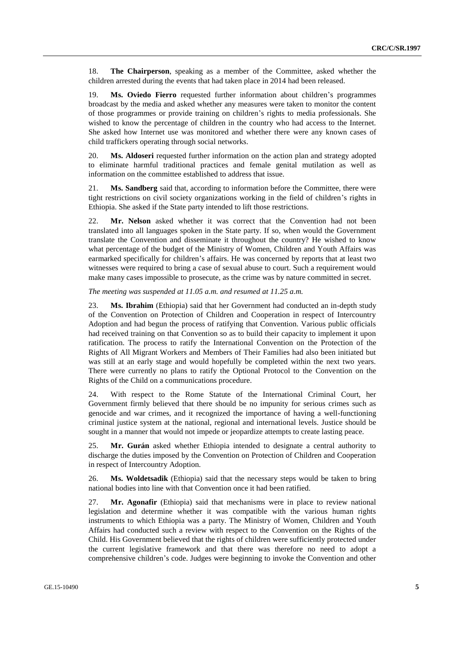18. **The Chairperson**, speaking as a member of the Committee, asked whether the children arrested during the events that had taken place in 2014 had been released.

19. **Ms. Oviedo Fierro** requested further information about children's programmes broadcast by the media and asked whether any measures were taken to monitor the content of those programmes or provide training on children's rights to media professionals. She wished to know the percentage of children in the country who had access to the Internet. She asked how Internet use was monitored and whether there were any known cases of child traffickers operating through social networks.

20. **Ms. Aldoseri** requested further information on the action plan and strategy adopted to eliminate harmful traditional practices and female genital mutilation as well as information on the committee established to address that issue.

21. **Ms. Sandberg** said that, according to information before the Committee, there were tight restrictions on civil society organizations working in the field of children's rights in Ethiopia. She asked if the State party intended to lift those restrictions.

22. **Mr. Nelson** asked whether it was correct that the Convention had not been translated into all languages spoken in the State party. If so, when would the Government translate the Convention and disseminate it throughout the country? He wished to know what percentage of the budget of the Ministry of Women, Children and Youth Affairs was earmarked specifically for children's affairs. He was concerned by reports that at least two witnesses were required to bring a case of sexual abuse to court. Such a requirement would make many cases impossible to prosecute, as the crime was by nature committed in secret.

*The meeting was suspended at 11.05 a.m. and resumed at 11.25 a.m.*

23. **Ms. Ibrahim** (Ethiopia) said that her Government had conducted an in-depth study of the Convention on Protection of Children and Cooperation in respect of Intercountry Adoption and had begun the process of ratifying that Convention. Various public officials had received training on that Convention so as to build their capacity to implement it upon ratification. The process to ratify the International Convention on the Protection of the Rights of All Migrant Workers and Members of Their Families had also been initiated but was still at an early stage and would hopefully be completed within the next two years. There were currently no plans to ratify the Optional Protocol to the Convention on the Rights of the Child on a communications procedure.

24. With respect to the Rome Statute of the International Criminal Court, her Government firmly believed that there should be no impunity for serious crimes such as genocide and war crimes, and it recognized the importance of having a well-functioning criminal justice system at the national, regional and international levels. Justice should be sought in a manner that would not impede or jeopardize attempts to create lasting peace.

25. **Mr. Gurán** asked whether Ethiopia intended to designate a central authority to discharge the duties imposed by the Convention on Protection of Children and Cooperation in respect of Intercountry Adoption.

26. **Ms. Woldetsadik** (Ethiopia) said that the necessary steps would be taken to bring national bodies into line with that Convention once it had been ratified.

27. **Mr. Agonafir** (Ethiopia) said that mechanisms were in place to review national legislation and determine whether it was compatible with the various human rights instruments to which Ethiopia was a party. The Ministry of Women, Children and Youth Affairs had conducted such a review with respect to the Convention on the Rights of the Child. His Government believed that the rights of children were sufficiently protected under the current legislative framework and that there was therefore no need to adopt a comprehensive children's code. Judges were beginning to invoke the Convention and other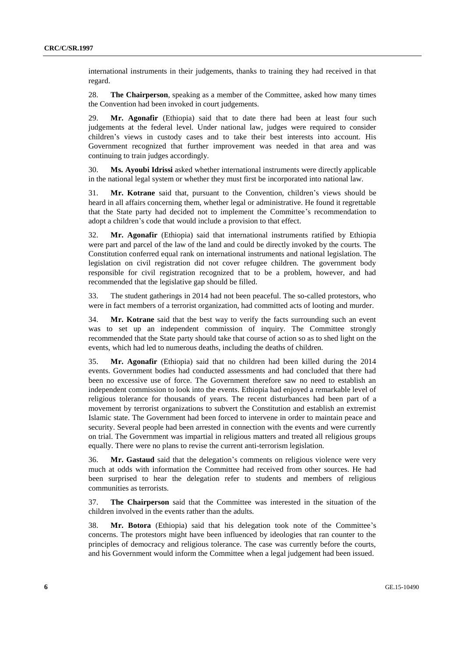international instruments in their judgements, thanks to training they had received in that regard.

28. **The Chairperson**, speaking as a member of the Committee, asked how many times the Convention had been invoked in court judgements.

29. **Mr. Agonafir** (Ethiopia) said that to date there had been at least four such judgements at the federal level. Under national law, judges were required to consider children's views in custody cases and to take their best interests into account. His Government recognized that further improvement was needed in that area and was continuing to train judges accordingly.

30. **Ms. Ayoubi Idrissi** asked whether international instruments were directly applicable in the national legal system or whether they must first be incorporated into national law.

31. **Mr. Kotrane** said that, pursuant to the Convention, children's views should be heard in all affairs concerning them, whether legal or administrative. He found it regrettable that the State party had decided not to implement the Committee's recommendation to adopt a children's code that would include a provision to that effect.

32. **Mr. Agonafir** (Ethiopia) said that international instruments ratified by Ethiopia were part and parcel of the law of the land and could be directly invoked by the courts. The Constitution conferred equal rank on international instruments and national legislation. The legislation on civil registration did not cover refugee children. The government body responsible for civil registration recognized that to be a problem, however, and had recommended that the legislative gap should be filled.

33. The student gatherings in 2014 had not been peaceful. The so-called protestors, who were in fact members of a terrorist organization, had committed acts of looting and murder.

34. **Mr. Kotrane** said that the best way to verify the facts surrounding such an event was to set up an independent commission of inquiry. The Committee strongly recommended that the State party should take that course of action so as to shed light on the events, which had led to numerous deaths, including the deaths of children.

35. **Mr. Agonafir** (Ethiopia) said that no children had been killed during the 2014 events. Government bodies had conducted assessments and had concluded that there had been no excessive use of force. The Government therefore saw no need to establish an independent commission to look into the events. Ethiopia had enjoyed a remarkable level of religious tolerance for thousands of years. The recent disturbances had been part of a movement by terrorist organizations to subvert the Constitution and establish an extremist Islamic state. The Government had been forced to intervene in order to maintain peace and security. Several people had been arrested in connection with the events and were currently on trial. The Government was impartial in religious matters and treated all religious groups equally. There were no plans to revise the current anti-terrorism legislation.

36. **Mr. Gastaud** said that the delegation's comments on religious violence were very much at odds with information the Committee had received from other sources. He had been surprised to hear the delegation refer to students and members of religious communities as terrorists.

37. **The Chairperson** said that the Committee was interested in the situation of the children involved in the events rather than the adults.

38. **Mr. Botora** (Ethiopia) said that his delegation took note of the Committee's concerns. The protestors might have been influenced by ideologies that ran counter to the principles of democracy and religious tolerance. The case was currently before the courts, and his Government would inform the Committee when a legal judgement had been issued.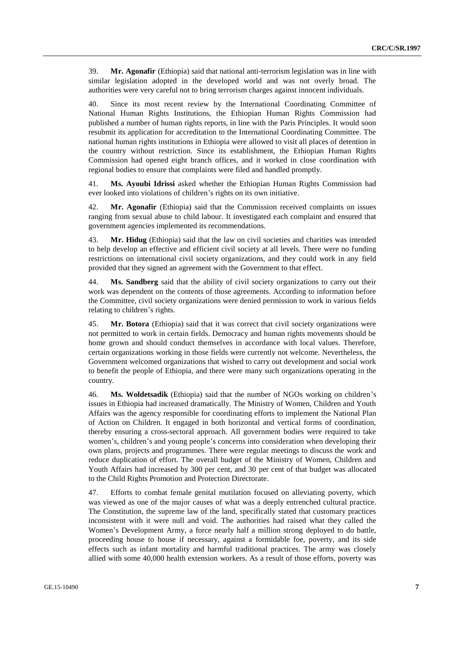39. **Mr. Agonafir** (Ethiopia) said that national anti-terrorism legislation was in line with similar legislation adopted in the developed world and was not overly broad. The authorities were very careful not to bring terrorism charges against innocent individuals.

40. Since its most recent review by the International Coordinating Committee of National Human Rights Institutions, the Ethiopian Human Rights Commission had published a number of human rights reports, in line with the Paris Principles. It would soon resubmit its application for accreditation to the International Coordinating Committee. The national human rights institutions in Ethiopia were allowed to visit all places of detention in the country without restriction. Since its establishment, the Ethiopian Human Rights Commission had opened eight branch offices, and it worked in close coordination with regional bodies to ensure that complaints were filed and handled promptly.

41. **Ms. Ayoubi Idrissi** asked whether the Ethiopian Human Rights Commission had ever looked into violations of children's rights on its own initiative.

42. **Mr. Agonafir** (Ethiopia) said that the Commission received complaints on issues ranging from sexual abuse to child labour. It investigated each complaint and ensured that government agencies implemented its recommendations.

43. **Mr. Hidug** (Ethiopia) said that the law on civil societies and charities was intended to help develop an effective and efficient civil society at all levels. There were no funding restrictions on international civil society organizations, and they could work in any field provided that they signed an agreement with the Government to that effect.

44. **Ms. Sandberg** said that the ability of civil society organizations to carry out their work was dependent on the contents of those agreements. According to information before the Committee, civil society organizations were denied permission to work in various fields relating to children's rights.

45. **Mr. Botora** (Ethiopia) said that it was correct that civil society organizations were not permitted to work in certain fields. Democracy and human rights movements should be home grown and should conduct themselves in accordance with local values. Therefore, certain organizations working in those fields were currently not welcome. Nevertheless, the Government welcomed organizations that wished to carry out development and social work to benefit the people of Ethiopia, and there were many such organizations operating in the country.

46. **Ms. Woldetsadik** (Ethiopia) said that the number of NGOs working on children's issues in Ethiopia had increased dramatically. The Ministry of Women, Children and Youth Affairs was the agency responsible for coordinating efforts to implement the National Plan of Action on Children. It engaged in both horizontal and vertical forms of coordination, thereby ensuring a cross-sectoral approach. All government bodies were required to take women's, children's and young people's concerns into consideration when developing their own plans, projects and programmes. There were regular meetings to discuss the work and reduce duplication of effort. The overall budget of the Ministry of Women, Children and Youth Affairs had increased by 300 per cent, and 30 per cent of that budget was allocated to the Child Rights Promotion and Protection Directorate.

47. Efforts to combat female genital mutilation focused on alleviating poverty, which was viewed as one of the major causes of what was a deeply entrenched cultural practice. The Constitution, the supreme law of the land, specifically stated that customary practices inconsistent with it were null and void. The authorities had raised what they called the Women's Development Army, a force nearly half a million strong deployed to do battle, proceeding house to house if necessary, against a formidable foe, poverty, and its side effects such as infant mortality and harmful traditional practices. The army was closely allied with some 40,000 health extension workers. As a result of those efforts, poverty was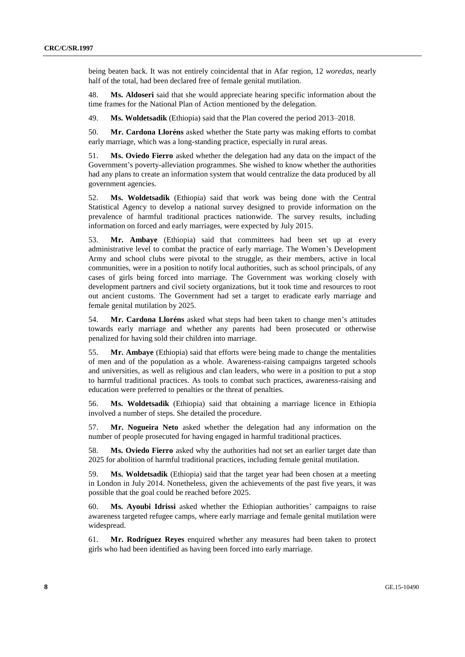being beaten back. It was not entirely coincidental that in Afar region, 12 *woredas*, nearly half of the total, had been declared free of female genital mutilation.

48. **Ms. Aldoseri** said that she would appreciate hearing specific information about the time frames for the National Plan of Action mentioned by the delegation.

49. **Ms. Woldetsadik** (Ethiopia) said that the Plan covered the period 2013–2018.

50. **Mr. Cardona Lloréns** asked whether the State party was making efforts to combat early marriage, which was a long-standing practice, especially in rural areas.

51. **Ms. Oviedo Fierro** asked whether the delegation had any data on the impact of the Government's poverty-alleviation programmes. She wished to know whether the authorities had any plans to create an information system that would centralize the data produced by all government agencies.

52. **Ms. Woldetsadik** (Ethiopia) said that work was being done with the Central Statistical Agency to develop a national survey designed to provide information on the prevalence of harmful traditional practices nationwide. The survey results, including information on forced and early marriages, were expected by July 2015.

53. **Mr. Ambaye** (Ethiopia) said that committees had been set up at every administrative level to combat the practice of early marriage. The Women's Development Army and school clubs were pivotal to the struggle, as their members, active in local communities, were in a position to notify local authorities, such as school principals, of any cases of girls being forced into marriage. The Government was working closely with development partners and civil society organizations, but it took time and resources to root out ancient customs. The Government had set a target to eradicate early marriage and female genital mutilation by 2025.

54. **Mr. Cardona Lloréns** asked what steps had been taken to change men's attitudes towards early marriage and whether any parents had been prosecuted or otherwise penalized for having sold their children into marriage.

55. **Mr. Ambaye** (Ethiopia) said that efforts were being made to change the mentalities of men and of the population as a whole. Awareness-raising campaigns targeted schools and universities, as well as religious and clan leaders, who were in a position to put a stop to harmful traditional practices. As tools to combat such practices, awareness-raising and education were preferred to penalties or the threat of penalties.

56. **Ms. Woldetsadik** (Ethiopia) said that obtaining a marriage licence in Ethiopia involved a number of steps. She detailed the procedure.

57. **Mr. Nogueira Neto** asked whether the delegation had any information on the number of people prosecuted for having engaged in harmful traditional practices.

58. **Ms. Oviedo Fierro** asked why the authorities had not set an earlier target date than 2025 for abolition of harmful traditional practices, including female genital mutilation.

59. **Ms. Woldetsadik** (Ethiopia) said that the target year had been chosen at a meeting in London in July 2014. Nonetheless, given the achievements of the past five years, it was possible that the goal could be reached before 2025.

60. **Ms. Ayoubi Idrissi** asked whether the Ethiopian authorities' campaigns to raise awareness targeted refugee camps, where early marriage and female genital mutilation were widespread.

61. **Mr. Rodríguez Reyes** enquired whether any measures had been taken to protect girls who had been identified as having been forced into early marriage.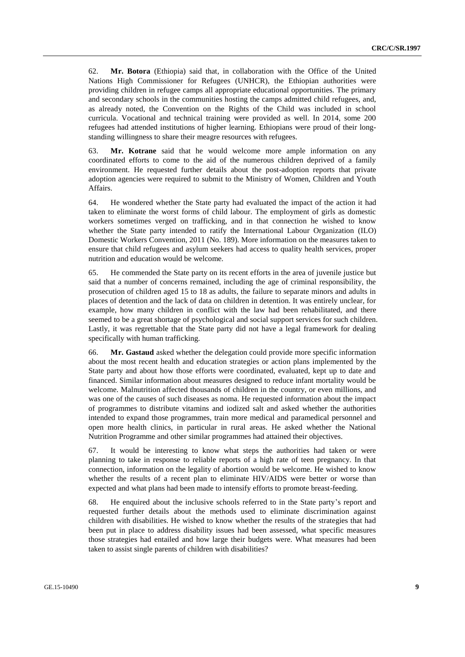62. **Mr. Botora** (Ethiopia) said that, in collaboration with the Office of the United Nations High Commissioner for Refugees (UNHCR), the Ethiopian authorities were providing children in refugee camps all appropriate educational opportunities. The primary and secondary schools in the communities hosting the camps admitted child refugees, and, as already noted, the Convention on the Rights of the Child was included in school curricula. Vocational and technical training were provided as well. In 2014, some 200 refugees had attended institutions of higher learning. Ethiopians were proud of their longstanding willingness to share their meagre resources with refugees.

63. **Mr. Kotrane** said that he would welcome more ample information on any coordinated efforts to come to the aid of the numerous children deprived of a family environment. He requested further details about the post-adoption reports that private adoption agencies were required to submit to the Ministry of Women, Children and Youth Affairs.

64. He wondered whether the State party had evaluated the impact of the action it had taken to eliminate the worst forms of child labour. The employment of girls as domestic workers sometimes verged on trafficking, and in that connection he wished to know whether the State party intended to ratify the International Labour Organization (ILO) Domestic Workers Convention, 2011 (No. 189). More information on the measures taken to ensure that child refugees and asylum seekers had access to quality health services, proper nutrition and education would be welcome.

65. He commended the State party on its recent efforts in the area of juvenile justice but said that a number of concerns remained, including the age of criminal responsibility, the prosecution of children aged 15 to 18 as adults, the failure to separate minors and adults in places of detention and the lack of data on children in detention. It was entirely unclear, for example, how many children in conflict with the law had been rehabilitated, and there seemed to be a great shortage of psychological and social support services for such children. Lastly, it was regrettable that the State party did not have a legal framework for dealing specifically with human trafficking.

66. **Mr. Gastaud** asked whether the delegation could provide more specific information about the most recent health and education strategies or action plans implemented by the State party and about how those efforts were coordinated, evaluated, kept up to date and financed. Similar information about measures designed to reduce infant mortality would be welcome. Malnutrition affected thousands of children in the country, or even millions, and was one of the causes of such diseases as noma. He requested information about the impact of programmes to distribute vitamins and iodized salt and asked whether the authorities intended to expand those programmes, train more medical and paramedical personnel and open more health clinics, in particular in rural areas. He asked whether the National Nutrition Programme and other similar programmes had attained their objectives.

67. It would be interesting to know what steps the authorities had taken or were planning to take in response to reliable reports of a high rate of teen pregnancy. In that connection, information on the legality of abortion would be welcome. He wished to know whether the results of a recent plan to eliminate HIV/AIDS were better or worse than expected and what plans had been made to intensify efforts to promote breast-feeding.

68. He enquired about the inclusive schools referred to in the State party's report and requested further details about the methods used to eliminate discrimination against children with disabilities. He wished to know whether the results of the strategies that had been put in place to address disability issues had been assessed, what specific measures those strategies had entailed and how large their budgets were. What measures had been taken to assist single parents of children with disabilities?